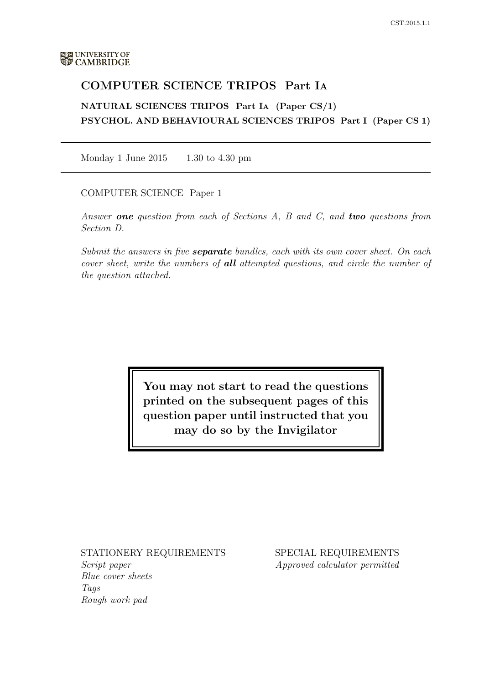# COMPUTER SCIENCE TRIPOS Part IA

NATURAL SCIENCES TRIPOS Part IA (Paper CS/1) PSYCHOL. AND BEHAVIOURAL SCIENCES TRIPOS Part I (Paper CS 1)

Monday 1 June 2015 1.30 to 4.30 pm

COMPUTER SCIENCE Paper 1

Answer **one** question from each of Sections A, B and C, and **two** questions from Section D.

Submit the answers in five **separate** bundles, each with its own cover sheet. On each cover sheet, write the numbers of **all** attempted questions, and circle the number of the question attached.

> You may not start to read the questions printed on the subsequent pages of this question paper until instructed that you may do so by the Invigilator

STATIONERY REQUIREMENTS

Script paper Blue cover sheets Tags Rough work pad

SPECIAL REQUIREMENTS Approved calculator permitted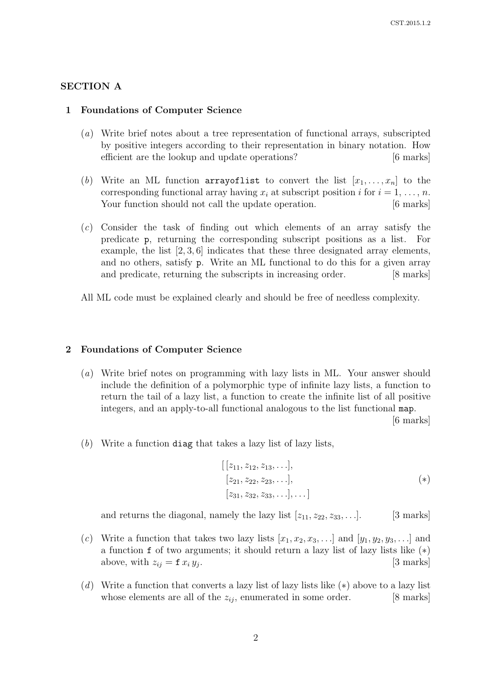#### SECTION A

#### 1 Foundations of Computer Science

- (a) Write brief notes about a tree representation of functional arrays, subscripted by positive integers according to their representation in binary notation. How efficient are the lookup and update operations? [6 marks]
- (b) Write an ML function arrayoflist to convert the list  $[x_1, \ldots, x_n]$  to the corresponding functional array having  $x_i$  at subscript position i for  $i = 1, \ldots, n$ . Your function should not call the update operation. [6 marks]
- (c) Consider the task of finding out which elements of an array satisfy the predicate p, returning the corresponding subscript positions as a list. For example, the list [2, 3, 6] indicates that these three designated array elements, and no others, satisfy p. Write an ML functional to do this for a given array and predicate, returning the subscripts in increasing order. [8 marks]

All ML code must be explained clearly and should be free of needless complexity.

#### 2 Foundations of Computer Science

(a) Write brief notes on programming with lazy lists in ML. Your answer should include the definition of a polymorphic type of infinite lazy lists, a function to return the tail of a lazy list, a function to create the infinite list of all positive integers, and an apply-to-all functional analogous to the list functional map.

[6 marks]

(b) Write a function diag that takes a lazy list of lazy lists,

$$
[[z_{11}, z_{12}, z_{13}, \ldots],\n[z_{21}, z_{22}, z_{23}, \ldots],\n[z_{31}, z_{32}, z_{33}, \ldots], \ldots]
$$
\n
$$
(*)
$$

and returns the diagonal, namely the lazy list  $[z_{11}, z_{22}, z_{33}, \ldots]$ . [3 marks]

- (c) Write a function that takes two lazy lists  $[x_1, x_2, x_3, \ldots]$  and  $[y_1, y_2, y_3, \ldots]$  and a function f of two arguments; it should return a lazy list of lazy lists like (∗) above, with  $z_{ij} = \mathbf{f} x_i y_j$ . . [3 marks]
- (d) Write a function that converts a lazy list of lazy lists like  $(*)$  above to a lazy list whose elements are all of the  $z_{ij}$ , enumerated in some order. [8 marks]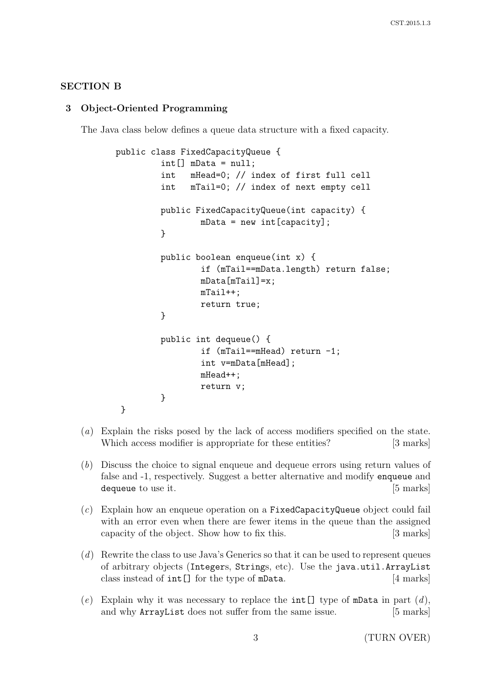### SECTION B

### 3 Object-Oriented Programming

The Java class below defines a queue data structure with a fixed capacity.

```
public class FixedCapacityQueue {
        int[] mData = null;int mHead=0; // index of first full cell
        int mTail=0; // index of next empty cell
        public FixedCapacityQueue(int capacity) {
                mData = new int[capacity];}
        public boolean enqueue(int x) {
                if (mTail==mData.length) return false;
                mData[mTail]=x;mTail++;
                return true;
        }
        public int dequeue() {
                if (mTail==mHead) return -1;
                int v=mData[mHead];
                mHead++;
                return v;
        }
}
```
- (a) Explain the risks posed by the lack of access modifiers specified on the state. Which access modifier is appropriate for these entities? [3 marks]
- (b) Discuss the choice to signal enqueue and dequeue errors using return values of false and -1, respectively. Suggest a better alternative and modify enqueue and dequeue to use it. [5 marks]
- $(c)$  Explain how an enqueue operation on a FixedCapacityQueue object could fail with an error even when there are fewer items in the queue than the assigned capacity of the object. Show how to fix this. [3 marks]
- (d) Rewrite the class to use Java's Generics so that it can be used to represent queues of arbitrary objects (Integers, Strings, etc). Use the java.util.ArrayList class instead of int[] for the type of mData. [4 marks]
- (e) Explain why it was necessary to replace the int [] type of mData in part  $(d)$ , and why **ArrayList** does not suffer from the same issue. [5 marks]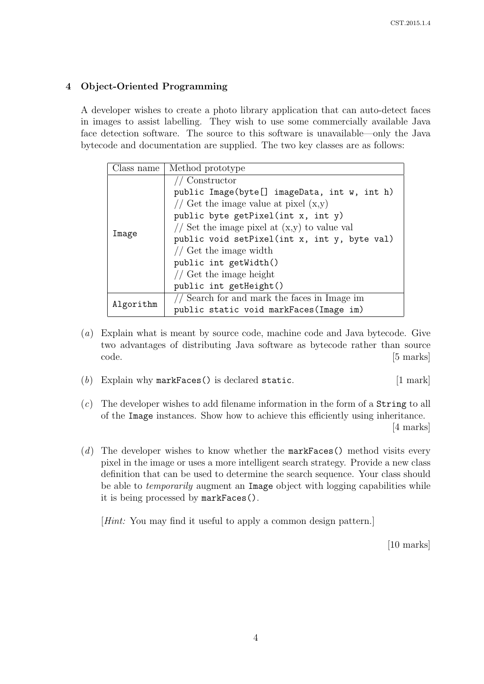## 4 Object-Oriented Programming

A developer wishes to create a photo library application that can auto-detect faces in images to assist labelling. They wish to use some commercially available Java face detection software. The source to this software is unavailable—only the Java bytecode and documentation are supplied. The two key classes are as follows:

| Class name | Method prototype                               |
|------------|------------------------------------------------|
| Image      | Constructor                                    |
|            | public Image(byte[] imageData, int w, int h)   |
|            | // Get the image value at pixel $(x,y)$        |
|            | public byte getPixel(int x, int y)             |
|            | // Set the image pixel at $(x,y)$ to value val |
|            | public void setPixel(int x, int y, byte val)   |
|            | // Get the image width                         |
|            | public int getWidth()                          |
|            | // Get the image height                        |
|            | public int getHeight()                         |
| Algorithm  | // Search for and mark the faces in Image im   |
|            | public static void markFaces (Image im)        |

- (a) Explain what is meant by source code, machine code and Java bytecode. Give two advantages of distributing Java software as bytecode rather than source code. [5 marks]
- (b) Explain why markFaces() is declared static.  $[1 \text{ mark}]$
- $(c)$  The developer wishes to add filename information in the form of a **String** to all of the Image instances. Show how to achieve this efficiently using inheritance. [4 marks]
- (d) The developer wishes to know whether the markFaces() method visits every pixel in the image or uses a more intelligent search strategy. Provide a new class definition that can be used to determine the search sequence. Your class should be able to *temporarily* augment an Image object with logging capabilities while it is being processed by markFaces().

[Hint: You may find it useful to apply a common design pattern.]

[10 marks]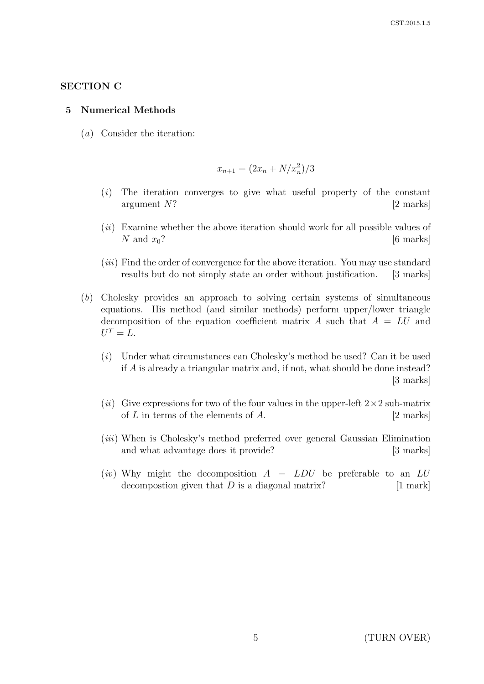## SECTION C

### 5 Numerical Methods

(a) Consider the iteration:

$$
x_{n+1} = (2x_n + N/x_n^2)/3
$$

- (i) The iteration converges to give what useful property of the constant argument N? [2 marks]
- $(ii)$  Examine whether the above iteration should work for all possible values of N and  $x_0$ ? [6 marks]
- $(iii)$  Find the order of convergence for the above iteration. You may use standard results but do not simply state an order without justification. [3 marks]
- (b) Cholesky provides an approach to solving certain systems of simultaneous equations. His method (and similar methods) perform upper/lower triangle decomposition of the equation coefficient matrix A such that  $A = LU$  and  $U^T = L.$ 
	- (i) Under what circumstances can Cholesky's method be used? Can it be used if A is already a triangular matrix and, if not, what should be done instead? [3 marks]
	- (ii) Give expressions for two of the four values in the upper-left  $2\times 2$  sub-matrix of  $L$  in terms of the elements of  $A$ . [2 marks]
	- (*iii*) When is Cholesky's method preferred over general Gaussian Elimination and what advantage does it provide? [3 marks]
	- (*iv*) Why might the decomposition  $A = LDU$  be preferable to an LU decompostion given that  $D$  is a diagonal matrix? [1 mark]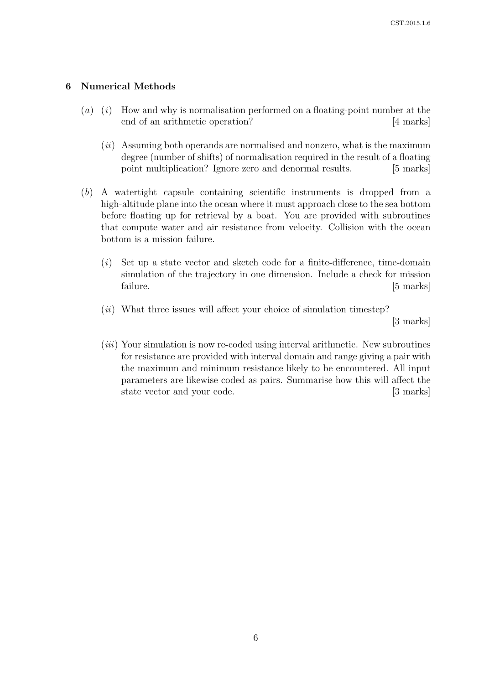#### 6 Numerical Methods

- $(a)$  (i) How and why is normalisation performed on a floating-point number at the end of an arithmetic operation? [4 marks]
	- $(ii)$  Assuming both operands are normalised and nonzero, what is the maximum degree (number of shifts) of normalisation required in the result of a floating point multiplication? Ignore zero and denormal results. [5 marks]
- (b) A watertight capsule containing scientific instruments is dropped from a high-altitude plane into the ocean where it must approach close to the sea bottom before floating up for retrieval by a boat. You are provided with subroutines that compute water and air resistance from velocity. Collision with the ocean bottom is a mission failure.
	- $(i)$  Set up a state vector and sketch code for a finite-difference, time-domain simulation of the trajectory in one dimension. Include a check for mission failure. [5 marks]
	- $(ii)$  What three issues will affect your choice of simulation timestep?

[3 marks]

 $(iii)$  Your simulation is now re-coded using interval arithmetic. New subroutines for resistance are provided with interval domain and range giving a pair with the maximum and minimum resistance likely to be encountered. All input parameters are likewise coded as pairs. Summarise how this will affect the state vector and your code. [3 marks]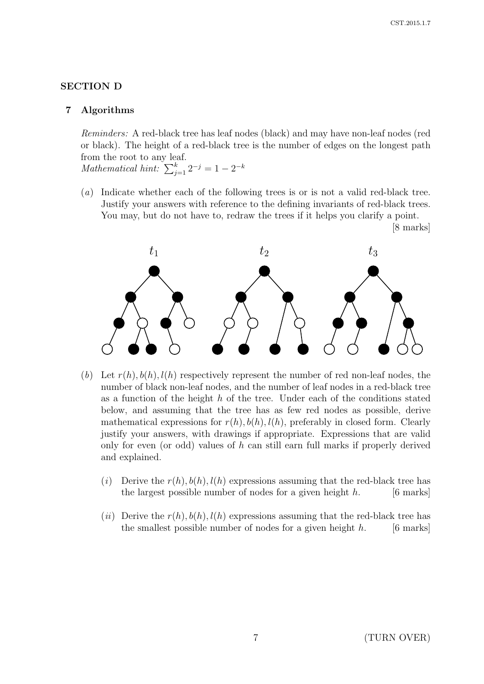[8 marks]

### SECTION D

#### 7 Algorithms

Reminders: A red-black tree has leaf nodes (black) and may have non-leaf nodes (red or black). The height of a red-black tree is the number of edges on the longest path from the root to any leaf.

Mathematical hint:  $\sum_{j=1}^{k} 2^{-j} = 1 - 2^{-k}$ 

(a) Indicate whether each of the following trees is or is not a valid red-black tree. Justify your answers with reference to the defining invariants of red-black trees. You may, but do not have to, redraw the trees if it helps you clarify a point.



- (b) Let  $r(h), b(h), l(h)$  respectively represent the number of red non-leaf nodes, the number of black non-leaf nodes, and the number of leaf nodes in a red-black tree as a function of the height  $h$  of the tree. Under each of the conditions stated below, and assuming that the tree has as few red nodes as possible, derive mathematical expressions for  $r(h)$ ,  $b(h)$ ,  $l(h)$ , preferably in closed form. Clearly justify your answers, with drawings if appropriate. Expressions that are valid only for even (or odd) values of h can still earn full marks if properly derived and explained.
	- (i) Derive the  $r(h)$ ,  $b(h)$ ,  $l(h)$  expressions assuming that the red-black tree has the largest possible number of nodes for a given height  $h$ . [6 marks]
	- (ii) Derive the  $r(h)$ ,  $b(h)$ ,  $l(h)$  expressions assuming that the red-black tree has the smallest possible number of nodes for a given height  $h$ . [6 marks]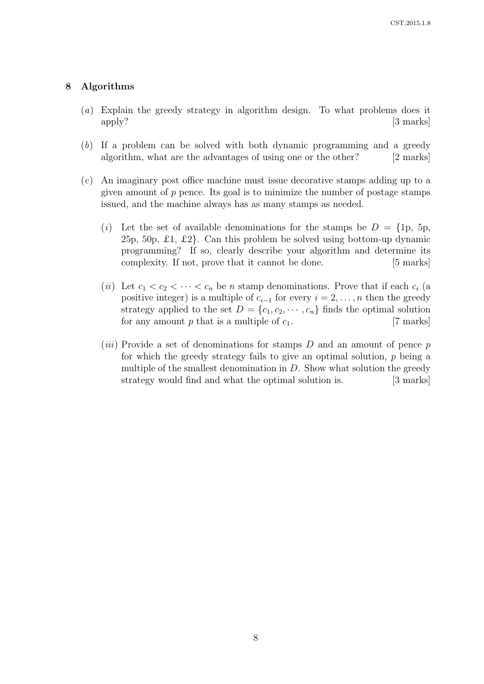#### 8 Algorithms

- (a) Explain the greedy strategy in algorithm design. To what problems does it apply? [3 marks]
- (b) If a problem can be solved with both dynamic programming and a greedy algorithm, what are the advantages of using one or the other? [2 marks]
- (c) An imaginary post office machine must issue decorative stamps adding up to a given amount of  $p$  pence. Its goal is to minimize the number of postage stamps issued, and the machine always has as many stamps as needed.
	- (i) Let the set of available denominations for the stamps be  $D = \{1p, 5p,$ 25p, 50p,  $\pounds$ 1,  $\pounds$ 2}. Can this problem be solved using bottom-up dynamic programming? If so, clearly describe your algorithm and determine its complexity. If not, prove that it cannot be done. [5 marks]
	- (ii) Let  $c_1 < c_2 < \cdots < c_n$  be n stamp denominations. Prove that if each  $c_i$  (a positive integer) is a multiple of  $c_{i-1}$  for every  $i = 2, \ldots, n$  then the greedy strategy applied to the set  $D = \{c_1, c_2, \dots, c_n\}$  finds the optimal solution for any amount p that is a multiple of  $c_1$ . [7 marks]
	- (*iii*) Provide a set of denominations for stamps  $D$  and an amount of pence  $p$ for which the greedy strategy fails to give an optimal solution, p being a multiple of the smallest denomination in  $D$ . Show what solution the greedy strategy would find and what the optimal solution is. [3 marks]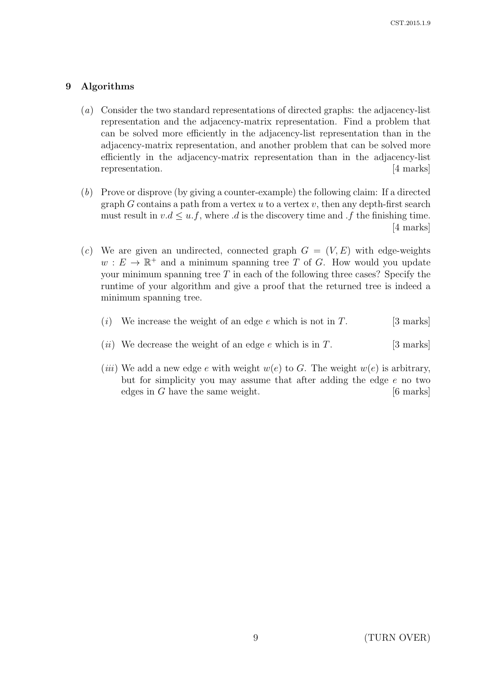## 9 Algorithms

- (a) Consider the two standard representations of directed graphs: the adjacency-list representation and the adjacency-matrix representation. Find a problem that can be solved more efficiently in the adjacency-list representation than in the adjacency-matrix representation, and another problem that can be solved more efficiently in the adjacency-matrix representation than in the adjacency-list representation. [4 marks]
- (b) Prove or disprove (by giving a counter-example) the following claim: If a directed graph G contains a path from a vertex  $u$  to a vertex  $v$ , then any depth-first search must result in  $v.d \leq u.f$ , where *d* is the discovery time and *f* the finishing time. [4 marks]
- (c) We are given an undirected, connected graph  $G = (V, E)$  with edge-weights  $w: E \to \mathbb{R}^+$  and a minimum spanning tree T of G. How would you update your minimum spanning tree  $T$  in each of the following three cases? Specify the runtime of your algorithm and give a proof that the returned tree is indeed a minimum spanning tree.
	- (i) We increase the weight of an edge e which is not in T. [3 marks]
	- (*ii*) We decrease the weight of an edge e which is in T. [3 marks]
	- (*iii*) We add a new edge e with weight  $w(e)$  to G. The weight  $w(e)$  is arbitrary, but for simplicity you may assume that after adding the edge e no two edges in G have the same weight. [6 marks]